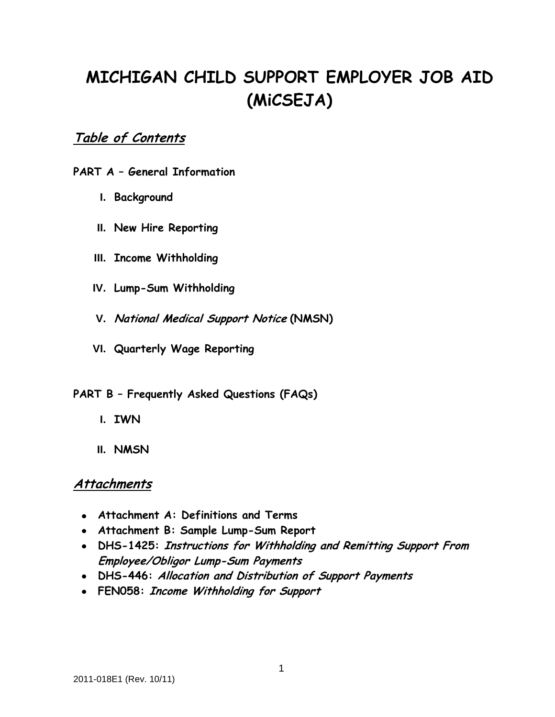# **MICHIGAN CHILD SUPPORT EMPLOYER JOB AID (MiCSEJA)**

# **Table of Contents**

## **PART A – General Information**

- **I. Background**
- **II. New Hire Reporting**
- **III. Income Withholding**
- **IV. Lump-Sum Withholding**
- **V. National Medical Support Notice (NMSN)**
- **VI. Quarterly Wage Reporting**

## **PART B – Frequently Asked Questions (FAQs)**

- **I. IWN**
- **II. NMSN**

# **Attachments**

- **Attachment A: Definitions and Terms**
- **Attachment B: Sample Lump-Sum Report**
- **DHS-1425: Instructions for Withholding and Remitting Support From Employee/Obligor Lump-Sum Payments**
- **DHS-446: Allocation and Distribution of Support Payments**
- **FEN058: Income Withholding for Support**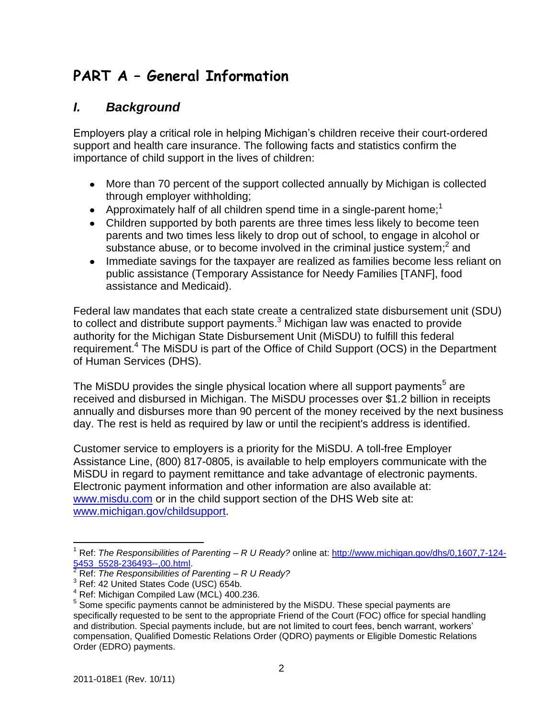# **PART A – General Information**

# *I. Background*

Employers play a critical role in helping Michigan's children receive their court-ordered support and health care insurance. The following facts and statistics confirm the importance of child support in the lives of children:

- More than 70 percent of the support collected annually by Michigan is collected through employer withholding;
- Approximately half of all children spend time in a single-parent home;<sup>1</sup>
- Children supported by both parents are three times less likely to become teen parents and two times less likely to drop out of school, to engage in alcohol or substance abuse, or to become involved in the criminal justice system;<sup>2</sup> and
- Immediate savings for the taxpayer are realized as families become less reliant on public assistance (Temporary Assistance for Needy Families [TANF], food assistance and Medicaid).

Federal law mandates that each state create a centralized state disbursement unit (SDU) to collect and distribute support payments. $3$  Michigan law was enacted to provide authority for the Michigan State Disbursement Unit (MiSDU) to fulfill this federal requirement.<sup>4</sup> The MiSDU is part of the Office of Child Support (OCS) in the Department of Human Services (DHS).

The MiSDU provides the single physical location where all support payments<sup>5</sup> are received and disbursed in Michigan. The MiSDU processes over \$1.2 billion in receipts annually and disburses more than 90 percent of the money received by the next business day. The rest is held as required by law or until the recipient's address is identified.

Customer service to employers is a priority for the MiSDU. A toll-free Employer Assistance Line, (800) 817-0805, is available to help employers communicate with the MiSDU in regard to payment remittance and take advantage of electronic payments. Electronic payment information and other information are also available at: [www.misdu.com](https://www.misdu.com/secure/) or in the child support section of the DHS Web site at: [www.michigan.gov/childsupport](http://www.michigan.gov/childsupport).

<sup>1</sup> Ref: *The Responsibilities of Parenting – R U Ready?* online at: [http://www.michigan.gov/dhs/0,1607,7-124-](http://www.michigan.gov/dhs/0,1607,7-124-5453_5528-236493--,00.html) 5453\_5528-236493--,00.html

<sup>2</sup> Ref: *The Responsibilities of Parenting – R U Ready?*

<sup>&</sup>lt;sup>3</sup> Ref: 42 United States Code (USC) 654b.

 $4$  Ref: Michigan Compiled Law (MCL) 400.236.

<sup>&</sup>lt;sup>5</sup> Some specific payments cannot be administered by the MiSDU. These special payments are specifically requested to be sent to the appropriate Friend of the Court (FOC) office for special handling and distribution. Special payments include, but are not limited to court fees, bench warrant, workers' compensation, Qualified Domestic Relations Order (QDRO) payments or Eligible Domestic Relations Order (EDRO) payments.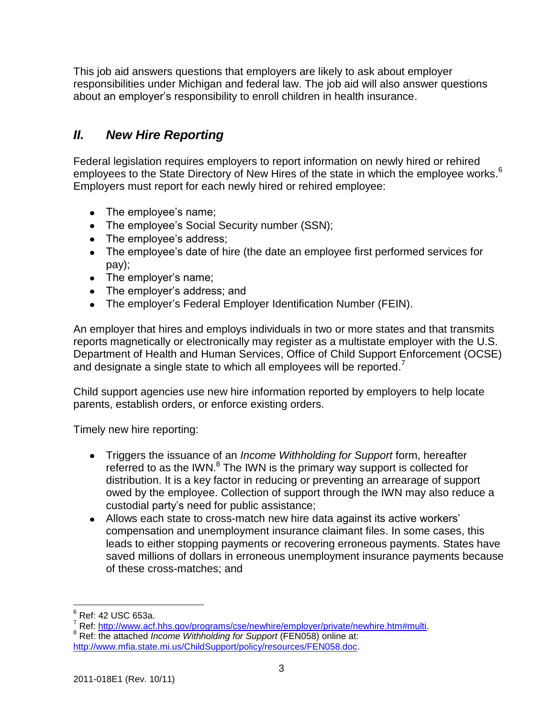This job aid answers questions that employers are likely to ask about employer responsibilities under Michigan and federal law. The job aid will also answer questions about an employer's responsibility to enroll children in health insurance.

# *II. New Hire Reporting*

Federal legislation requires employers to report information on newly hired or rehired employees to the State Directory of New Hires of the state in which the employee works.<sup>6</sup> Employers must report for each newly hired or rehired employee:

- The employee's name;
- The employee's Social Security number (SSN);
- The employee's address;
- The employee's date of hire (the date an employee first performed services for pay);
- The employer's name;
- The employer's address; and
- The employer's Federal Employer Identification Number (FEIN).

An employer that hires and employs individuals in two or more states and that transmits reports magnetically or electronically may register as a multistate employer with the U.S. Department of Health and Human Services, Office of Child Support Enforcement (OCSE) and designate a single state to which all employees will be reported.<sup>7</sup>

Child support agencies use new hire information reported by employers to help locate parents, establish orders, or enforce existing orders.

Timely new hire reporting:

- Triggers the issuance of an *Income Withholding for Support* form, hereafter referred to as the IWN. $^8$  The IWN is the primary way support is collected for distribution. It is a key factor in reducing or preventing an arrearage of support owed by the employee. Collection of support through the IWN may also reduce a custodial party's need for public assistance;
- Allows each state to cross-match new hire data against its active workers' compensation and unemployment insurance claimant files. In some cases, this leads to either stopping payments or recovering erroneous payments. States have saved millions of dollars in erroneous unemployment insurance payments because of these cross-matches; and

 $\overline{a}$  $6$  Ref: 42 USC 653a.

<sup>7</sup> Ref: [http://www.acf.hhs.gov/programs/cse/newhire/employer/private/newhire.htm#multi.](http://www.acf.hhs.gov/programs/cse/newhire/employer/private/newhire.htm#multi)

<sup>8</sup> Ref: the attached *Income Withholding for Support* (FEN058) online at: [http://www.mfia.state.mi.us/ChildSupport/policy/resources/FEN058.doc.](http://www.mfia.state.mi.us/ChildSupport/policy/resources/FEN058.doc)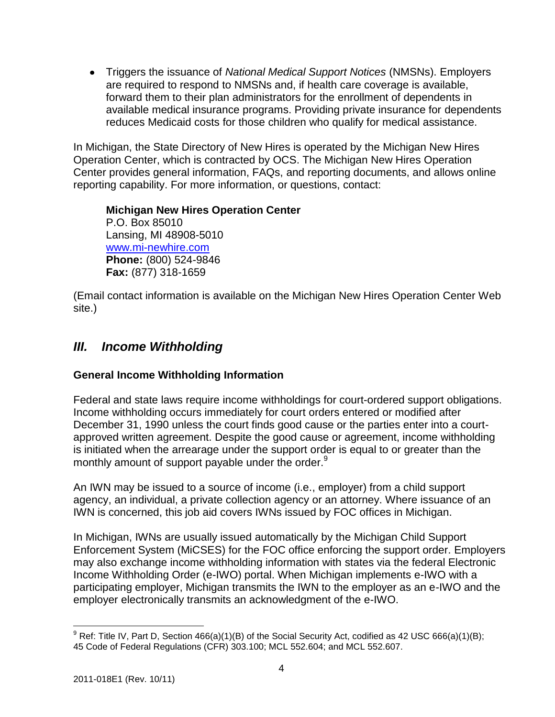Triggers the issuance of *National Medical Support Notices* (NMSNs). Employers are required to respond to NMSNs and, if health care coverage is available, forward them to their plan administrators for the enrollment of dependents in available medical insurance programs. Providing private insurance for dependents reduces Medicaid costs for those children who qualify for medical assistance.

In Michigan, the State Directory of New Hires is operated by the Michigan New Hires Operation Center, which is contracted by OCS. The Michigan New Hires Operation Center provides general information, FAQs, and reporting documents, and allows online reporting capability. For more information, or questions, contact:

**Michigan New Hires Operation Center** P.O. Box 85010 Lansing, MI 48908-5010 [www.mi-newhire.com](http://www.mi-newhire.com/) **Phone:** (800) 524-9846 **Fax:** (877) 318-1659

(Email contact information is available on the Michigan New Hires Operation Center Web site.)

# *III. Income Withholding*

# **General Income Withholding Information**

Federal and state laws require income withholdings for court-ordered support obligations. Income withholding occurs immediately for court orders entered or modified after December 31, 1990 unless the court finds good cause or the parties enter into a courtapproved written agreement. Despite the good cause or agreement, income withholding is initiated when the arrearage under the support order is equal to or greater than the monthly amount of support payable under the order.<sup>9</sup>

An IWN may be issued to a source of income (i.e., employer) from a child support agency, an individual, a private collection agency or an attorney. Where issuance of an IWN is concerned, this job aid covers IWNs issued by FOC offices in Michigan.

In Michigan, IWNs are usually issued automatically by the Michigan Child Support Enforcement System (MiCSES) for the FOC office enforcing the support order. Employers may also exchange income withholding information with states via the federal Electronic Income Withholding Order (e-IWO) portal. When Michigan implements e-IWO with a participating employer, Michigan transmits the IWN to the employer as an e-IWO and the employer electronically transmits an acknowledgment of the e-IWO.

 $9$  Ref: Title IV, Part D, Section 466(a)(1)(B) of the Social Security Act, codified as 42 USC 666(a)(1)(B); 45 Code of Federal Regulations (CFR) 303.100; MCL 552.604; and MCL 552.607.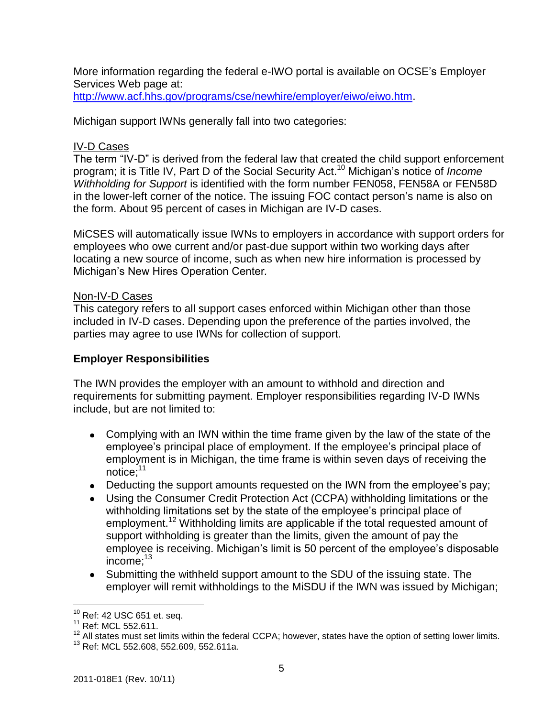More information regarding the federal e-IWO portal is available on OCSE's Employer Services Web page at:

[http://www.acf.hhs.gov/programs/cse/newhire/employer/eiwo/eiwo.htm.](http://www.acf.hhs.gov/programs/cse/newhire/employer/eiwo/eiwo.htm)

Michigan support IWNs generally fall into two categories:

#### IV-D Cases

The term "IV-D" is derived from the federal law that created the child support enforcement program; it is Title IV, Part D of the Social Security Act. <sup>10</sup> Michigan's notice of *Income Withholding for Support* is identified with the form number FEN058, FEN58A or FEN58D in the lower-left corner of the notice. The issuing FOC contact person's name is also on the form. About 95 percent of cases in Michigan are IV-D cases.

MiCSES will automatically issue IWNs to employers in accordance with support orders for employees who owe current and/or past-due support within two working days after locating a new source of income, such as when new hire information is processed by Michigan's New Hires Operation Center*.*

#### Non-IV-D Cases

This category refers to all support cases enforced within Michigan other than those included in IV-D cases. Depending upon the preference of the parties involved, the parties may agree to use IWNs for collection of support.

#### **Employer Responsibilities**

The IWN provides the employer with an amount to withhold and direction and requirements for submitting payment. Employer responsibilities regarding IV-D IWNs include, but are not limited to:

- Complying with an IWN within the time frame given by the law of the state of the employee's principal place of employment. If the employee's principal place of employment is in Michigan, the time frame is within seven days of receiving the notice; 11
- Deducting the support amounts requested on the IWN from the employee's pay;
- Using the Consumer Credit Protection Act (CCPA) withholding limitations or the withholding limitations set by the state of the employee's principal place of employment.<sup>12</sup> Withholding limits are applicable if the total requested amount of support withholding is greater than the limits, given the amount of pay the employee is receiving. Michigan's limit is 50 percent of the employee's disposable income; 13
- Submitting the withheld support amount to the SDU of the issuing state. The employer will remit withholdings to the MiSDU if the IWN was issued by Michigan;

 $10$  Ref: 42 USC 651 et. seq.

<sup>&</sup>lt;sup>11</sup> Ref: MCL 552.611.

<sup>&</sup>lt;sup>12</sup> All states must set limits within the federal CCPA; however, states have the option of setting lower limits. <sup>13</sup> Ref: MCL 552.608, 552.609, 552.611a.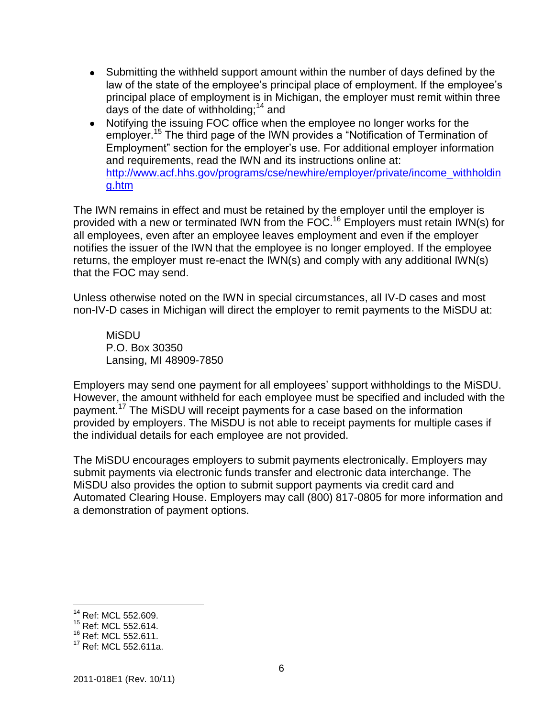- Submitting the withheld support amount within the number of days defined by the law of the state of the employee's principal place of employment. If the employee's principal place of employment is in Michigan, the employer must remit within three days of the date of withholding;  $14$  and
- Notifying the issuing FOC office when the employee no longer works for the employer.<sup>15</sup> The third page of the IWN provides a "Notification of Termination of Employment" section for the employer's use. For additional employer information and requirements, read the IWN and its instructions online at: [http://www.acf.hhs.gov/programs/cse/newhire/employer/private/income\\_withholdin](http://www.acf.hhs.gov/programs/cse/newhire/employer/private/income_withholding.htm) [g.htm](http://www.acf.hhs.gov/programs/cse/newhire/employer/private/income_withholding.htm)

The IWN remains in effect and must be retained by the employer until the employer is provided with a new or terminated IWN from the FOC.<sup>16</sup> Employers must retain IWN(s) for all employees, even after an employee leaves employment and even if the employer notifies the issuer of the IWN that the employee is no longer employed. If the employee returns, the employer must re-enact the IWN(s) and comply with any additional IWN(s) that the FOC may send.

Unless otherwise noted on the IWN in special circumstances, all IV-D cases and most non-IV-D cases in Michigan will direct the employer to remit payments to the MiSDU at:

**MiSDU** P.O. Box 30350 Lansing, MI 48909-7850

Employers may send one payment for all employees' support withholdings to the MiSDU. However, the amount withheld for each employee must be specified and included with the payment. <sup>17</sup> The MiSDU will receipt payments for a case based on the information provided by employers. The MiSDU is not able to receipt payments for multiple cases if the individual details for each employee are not provided.

The MiSDU encourages employers to submit payments electronically. Employers may submit payments via electronic funds transfer and electronic data interchange. The MiSDU also provides the option to submit support payments via credit card and Automated Clearing House. Employers may call (800) 817-0805 for more information and a demonstration of payment options.

<sup>&</sup>lt;sup>14</sup> Ref: MCL 552.609.

<sup>&</sup>lt;sup>15</sup> Ref: MCL 552.614.

<sup>&</sup>lt;sup>16</sup> Ref: MCL 552.611.

<sup>&</sup>lt;sup>17</sup> Ref: MCL 552.611a.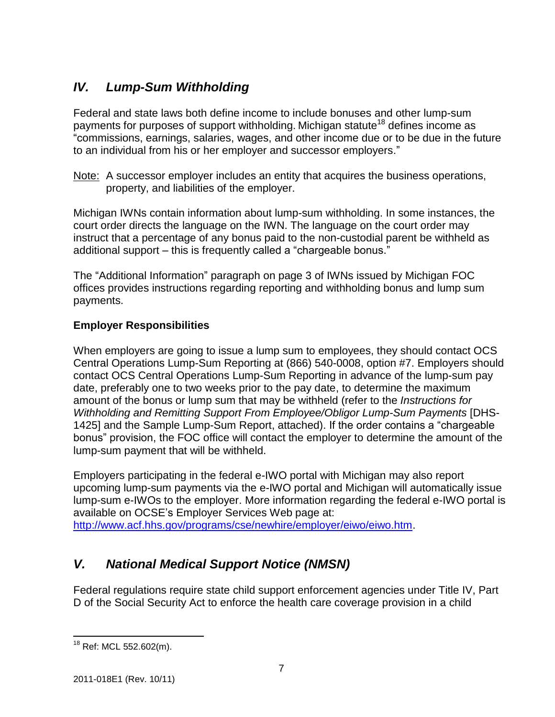# *IV. Lump-Sum Withholding*

Federal and state laws both define income to include bonuses and other lump-sum payments for purposes of support withholding. Michigan statute<sup>18</sup> defines income as "commissions, earnings, salaries, wages, and other income due or to be due in the future to an individual from his or her employer and successor employers."

Note: A successor employer includes an entity that acquires the business operations, property, and liabilities of the employer.

Michigan IWNs contain information about lump-sum withholding. In some instances, the court order directs the language on the IWN. The language on the court order may instruct that a percentage of any bonus paid to the non-custodial parent be withheld as additional support – this is frequently called a "chargeable bonus."

The "Additional Information" paragraph on page 3 of IWNs issued by Michigan FOC offices provides instructions regarding reporting and withholding bonus and lump sum payments.

# **Employer Responsibilities**

When employers are going to issue a lump sum to employees, they should contact OCS Central Operations Lump-Sum Reporting at (866) 540-0008, option #7. Employers should contact OCS Central Operations Lump-Sum Reporting in advance of the lump-sum pay date, preferably one to two weeks prior to the pay date, to determine the maximum amount of the bonus or lump sum that may be withheld (refer to the *Instructions for Withholding and Remitting Support From Employee/Obligor Lump-Sum Payments* [DHS-1425] and the Sample Lump-Sum Report, attached). If the order contains a "chargeable bonus" provision, the FOC office will contact the employer to determine the amount of the lump-sum payment that will be withheld.

Employers participating in the federal e-IWO portal with Michigan may also report upcoming lump-sum payments via the e-IWO portal and Michigan will automatically issue lump-sum e-IWOs to the employer. More information regarding the federal e-IWO portal is available on OCSE's Employer Services Web page at: [http://www.acf.hhs.gov/programs/cse/newhire/employer/eiwo/eiwo.htm.](http://www.acf.hhs.gov/programs/cse/newhire/employer/eiwo/eiwo.htm)

# *V. National Medical Support Notice (NMSN)*

Federal regulations require state child support enforcement agencies under Title IV, Part D of the Social Security Act to enforce the health care coverage provision in a child

 $\overline{a}$ <sup>18</sup> Ref: MCL 552.602(m).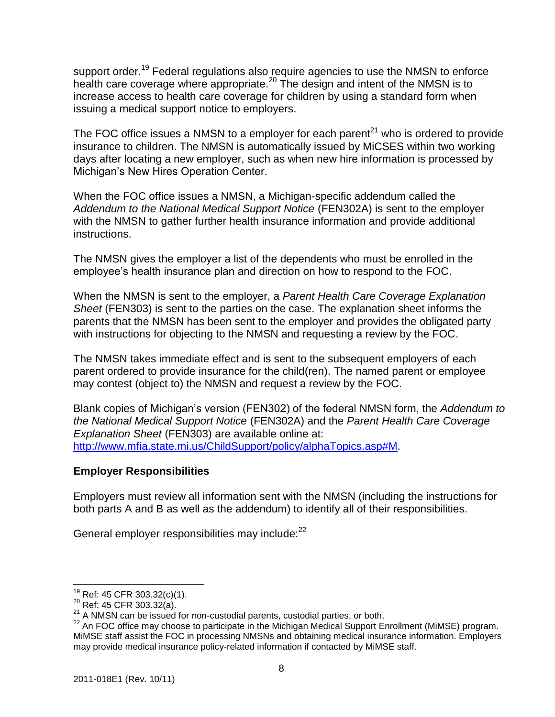support order.<sup>19</sup> Federal regulations also require agencies to use the NMSN to enforce health care coverage where appropriate.<sup>20</sup> The design and intent of the NMSN is to increase access to health care coverage for children by using a standard form when issuing a medical support notice to employers.

The FOC office issues a NMSN to a employer for each parent<sup>21</sup> who is ordered to provide insurance to children. The NMSN is automatically issued by MiCSES within two working days after locating a new employer, such as when new hire information is processed by Michigan's New Hires Operation Center.

When the FOC office issues a NMSN, a Michigan-specific addendum called the *Addendum to the National Medical Support Notice* (FEN302A) is sent to the employer with the NMSN to gather further health insurance information and provide additional instructions.

The NMSN gives the employer a list of the dependents who must be enrolled in the employee's health insurance plan and direction on how to respond to the FOC.

When the NMSN is sent to the employer, a *Parent Health Care Coverage Explanation Sheet* (FEN303) is sent to the parties on the case. The explanation sheet informs the parents that the NMSN has been sent to the employer and provides the obligated party with instructions for objecting to the NMSN and requesting a review by the FOC.

The NMSN takes immediate effect and is sent to the subsequent employers of each parent ordered to provide insurance for the child(ren). The named parent or employee may contest (object to) the NMSN and request a review by the FOC.

Blank copies of Michigan's version (FEN302) of the federal NMSN form, the *Addendum to the National Medical Support Notice* (FEN302A) and the *Parent Health Care Coverage Explanation Sheet* (FEN303) are available online at: [http://www.mfia.state.mi.us/ChildSupport/policy/alphaTopics.asp#M.](http://www.mfia.state.mi.us/ChildSupport/policy/alphaTopics.asp#M)

## **Employer Responsibilities**

Employers must review all information sent with the NMSN (including the instructions for both parts A and B as well as the addendum) to identify all of their responsibilities.

General employer responsibilities may include:<sup>22</sup>

 $\overline{a}$  $19$  Ref: 45 CFR 303.32(c)(1).

 $^{20}$  Ref: 45 CFR 303.32(a).

 $^{21}$  A NMSN can be issued for non-custodial parents, custodial parties, or both.

 $^{22}$  An FOC office may choose to participate in the Michigan Medical Support Enrollment (MiMSE) program. MiMSE staff assist the FOC in processing NMSNs and obtaining medical insurance information. Employers may provide medical insurance policy-related information if contacted by MiMSE staff.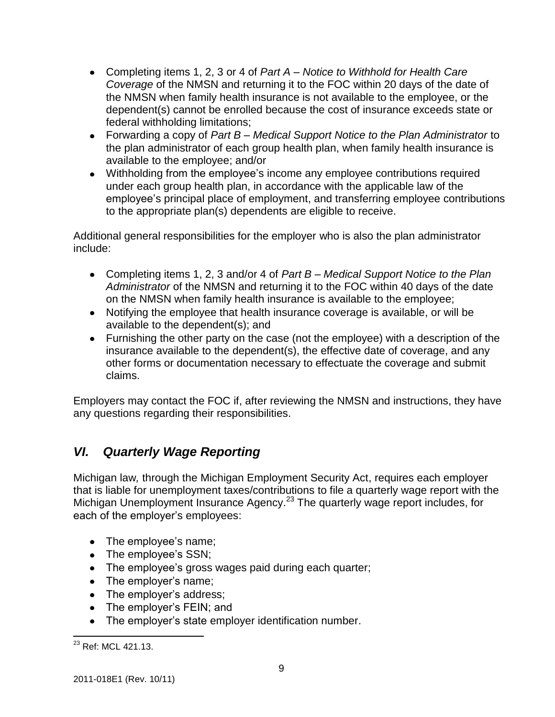- Completing items 1, 2, 3 or 4 of *Part A – Notice to Withhold for Health Care Coverage* of the NMSN and returning it to the FOC within 20 days of the date of the NMSN when family health insurance is not available to the employee, or the dependent(s) cannot be enrolled because the cost of insurance exceeds state or federal withholding limitations;
- Forwarding a copy of *Part B – Medical Support Notice to the Plan Administrator* to the plan administrator of each group health plan, when family health insurance is available to the employee; and/or
- Withholding from the employee's income any employee contributions required under each group health plan, in accordance with the applicable law of the employee's principal place of employment, and transferring employee contributions to the appropriate plan(s) dependents are eligible to receive.

Additional general responsibilities for the employer who is also the plan administrator include:

- Completing items 1, 2, 3 and/or 4 of *Part B – Medical Support Notice to the Plan Administrator* of the NMSN and returning it to the FOC within 40 days of the date on the NMSN when family health insurance is available to the employee;
- Notifying the employee that health insurance coverage is available, or will be available to the dependent(s); and
- Furnishing the other party on the case (not the employee) with a description of the insurance available to the dependent(s), the effective date of coverage, and any other forms or documentation necessary to effectuate the coverage and submit claims.

Employers may contact the FOC if, after reviewing the NMSN and instructions, they have any questions regarding their responsibilities.

# *VI. Quarterly Wage Reporting*

Michigan law*,* through the Michigan Employment Security Act, requires each employer that is liable for unemployment taxes/contributions to file a quarterly wage report with the Michigan Unemployment Insurance Agency.<sup>23</sup> The quarterly wage report includes, for each of the employer's employees:

- The employee's name;
- The employee's SSN;
- The employee's gross wages paid during each quarter;
- The employer's name;
- The employer's address;
- The employer's FEIN; and
- The employer's state employer identification number.

 $\overline{a}$ <sup>23</sup> Ref: MCL 421.13.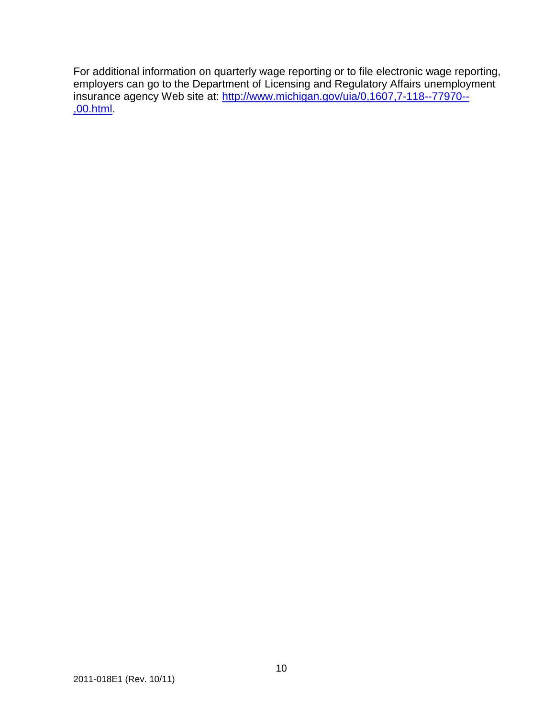For additional information on quarterly wage reporting or to file electronic wage reporting, employers can go to the Department of Licensing and Regulatory Affairs unemployment insurance agency Web site at: [http://www.michigan.gov/uia/0,1607,7-118--77970--](http://www.michigan.gov/uia/0,1607,7-118--77970--,00.html) [,00.html.](http://www.michigan.gov/uia/0,1607,7-118--77970--,00.html)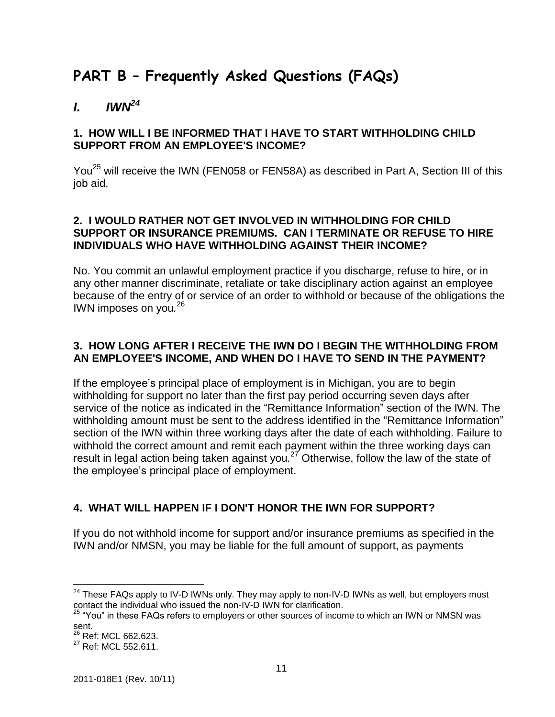# **PART B – Frequently Asked Questions (FAQs)**

# *I. IWN<sup>24</sup>*

## **1. HOW WILL I BE INFORMED THAT I HAVE TO START WITHHOLDING CHILD SUPPORT FROM AN EMPLOYEE'S INCOME?**

You<sup>25</sup> will receive the IWN (FEN058 or FEN58A) as described in Part A, Section III of this job aid.

## **2. I WOULD RATHER NOT GET INVOLVED IN WITHHOLDING FOR CHILD SUPPORT OR INSURANCE PREMIUMS. CAN I TERMINATE OR REFUSE TO HIRE INDIVIDUALS WHO HAVE WITHHOLDING AGAINST THEIR INCOME?**

No. You commit an unlawful employment practice if you discharge, refuse to hire, or in any other manner discriminate, retaliate or take disciplinary action against an employee because of the entry of or service of an order to withhold or because of the obligations the IWN imposes on you*.* 26

## **3. HOW LONG AFTER I RECEIVE THE IWN DO I BEGIN THE WITHHOLDING FROM AN EMPLOYEE'S INCOME, AND WHEN DO I HAVE TO SEND IN THE PAYMENT?**

If the employee's principal place of employment is in Michigan, you are to begin withholding for support no later than the first pay period occurring seven days after service of the notice as indicated in the "Remittance Information" section of the IWN. The withholding amount must be sent to the address identified in the "Remittance Information" section of the IWN within three working days after the date of each withholding. Failure to withhold the correct amount and remit each payment within the three working days can result in legal action being taken against you*.* <sup>27</sup> Otherwise, follow the law of the state of the employee's principal place of employment.

# **4. WHAT WILL HAPPEN IF I DON'T HONOR THE IWN FOR SUPPORT?**

If you do not withhold income for support and/or insurance premiums as specified in the IWN and/or NMSN, you may be liable for the full amount of support, as payments

 $24$  These FAQs apply to IV-D IWNs only. They may apply to non-IV-D IWNs as well, but employers must contact the individual who issued the non-IV-D IWN for clarification.

 $^{25}$  "You" in these FAQs refers to employers or other sources of income to which an IWN or NMSN was sent.

<sup>&</sup>lt;sup>26</sup> Ref: MCL 662.623.

<sup>&</sup>lt;sup>27</sup> Ref: MCL 552.611.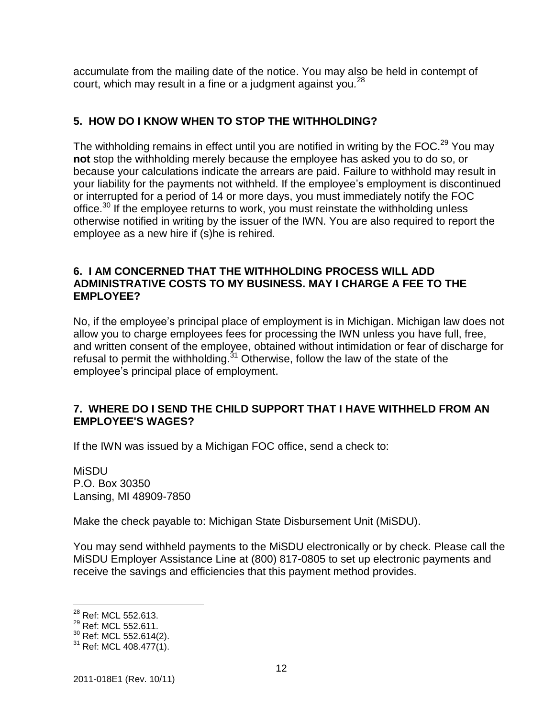accumulate from the mailing date of the notice. You may also be held in contempt of court, which may result in a fine or a judgment against you*.* 28

# **5. HOW DO I KNOW WHEN TO STOP THE WITHHOLDING?**

The withholding remains in effect until you are notified in writing by the FOC.<sup>29</sup> You may **not** stop the withholding merely because the employee has asked you to do so, or because your calculations indicate the arrears are paid. Failure to withhold may result in your liability for the payments not withheld. If the employee's employment is discontinued or interrupted for a period of 14 or more days, you must immediately notify the FOC office.<sup>30</sup> If the employee returns to work, you must reinstate the withholding unless otherwise notified in writing by the issuer of the IWN. You are also required to report the employee as a new hire if (s)he is rehired*.*

## **6. I AM CONCERNED THAT THE WITHHOLDING PROCESS WILL ADD ADMINISTRATIVE COSTS TO MY BUSINESS. MAY I CHARGE A FEE TO THE EMPLOYEE?**

No, if the employee's principal place of employment is in Michigan. Michigan law does not allow you to charge employees fees for processing the IWN unless you have full, free, and written consent of the employee, obtained without intimidation or fear of discharge for refusal to permit the withholding. $31$  Otherwise, follow the law of the state of the employee's principal place of employment.

## **7. WHERE DO I SEND THE CHILD SUPPORT THAT I HAVE WITHHELD FROM AN EMPLOYEE'S WAGES?**

If the IWN was issued by a Michigan FOC office, send a check to:

MiSDU P.O. Box 30350 Lansing, MI 48909-7850

Make the check payable to: Michigan State Disbursement Unit (MiSDU).

You may send withheld payments to the MiSDU electronically or by check. Please call the MiSDU Employer Assistance Line at (800) 817-0805 to set up electronic payments and receive the savings and efficiencies that this payment method provides.

 $\overline{a}$ <sup>28</sup> Ref: MCL 552.613.

<sup>&</sup>lt;sup>29</sup> Ref: MCL 552.611.

<sup>30</sup> Ref: MCL 552.614(2).

 $31$  Ref: MCL 408.477(1).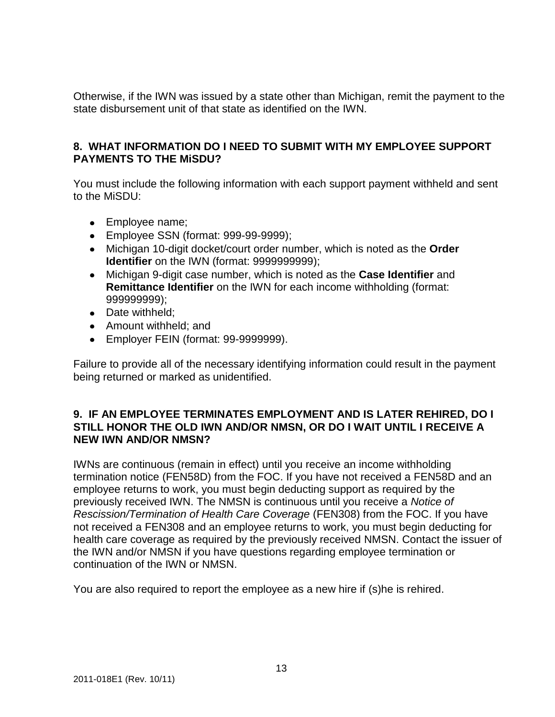Otherwise, if the IWN was issued by a state other than Michigan, remit the payment to the state disbursement unit of that state as identified on the IWN.

## **8. WHAT INFORMATION DO I NEED TO SUBMIT WITH MY EMPLOYEE SUPPORT PAYMENTS TO THE MiSDU?**

You must include the following information with each support payment withheld and sent to the MiSDU:

- Employee name;
- Employee SSN (format: 999-99-9999);
- Michigan 10-digit docket/court order number, which is noted as the **Order Identifier** on the IWN (format: 9999999999);
- Michigan 9-digit case number, which is noted as the **Case Identifier** and **Remittance Identifier** on the IWN for each income withholding (format: 999999999);
- Date withheld:
- Amount withheld; and
- Employer FEIN (format: 99-9999999).

Failure to provide all of the necessary identifying information could result in the payment being returned or marked as unidentified.

## **9. IF AN EMPLOYEE TERMINATES EMPLOYMENT AND IS LATER REHIRED, DO I STILL HONOR THE OLD IWN AND/OR NMSN, OR DO I WAIT UNTIL I RECEIVE A NEW IWN AND/OR NMSN?**

IWNs are continuous (remain in effect) until you receive an income withholding termination notice (FEN58D) from the FOC. If you have not received a FEN58D and an employee returns to work, you must begin deducting support as required by the previously received IWN. The NMSN is continuous until you receive a *Notice of Rescission/Termination of Health Care Coverage* (FEN308) from the FOC. If you have not received a FEN308 and an employee returns to work, you must begin deducting for health care coverage as required by the previously received NMSN. Contact the issuer of the IWN and/or NMSN if you have questions regarding employee termination or continuation of the IWN or NMSN.

You are also required to report the employee as a new hire if (s)he is rehired.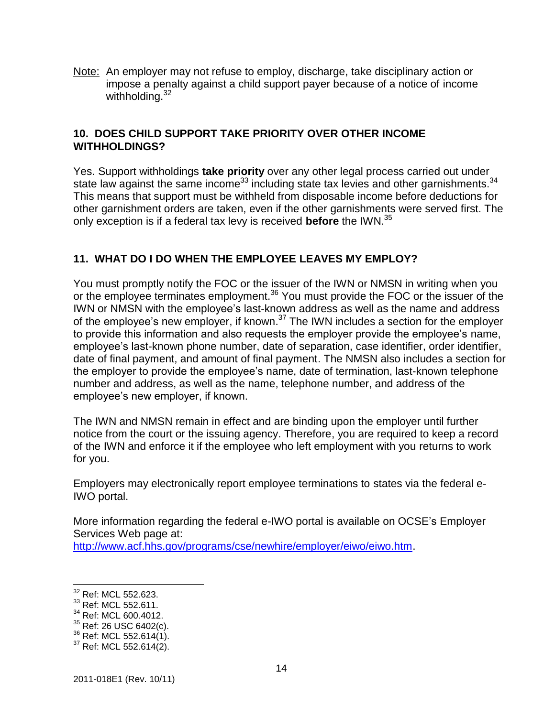Note: An employer may not refuse to employ, discharge, take disciplinary action or impose a penalty against a child support payer because of a notice of income withholding.<sup>32</sup>

## **10. DOES CHILD SUPPORT TAKE PRIORITY OVER OTHER INCOME WITHHOLDINGS?**

Yes. Support withholdings **take priority** over any other legal process carried out under state law against the same income<sup>33</sup> including state tax levies and other garnishments.<sup>34</sup> This means that support must be withheld from disposable income before deductions for other garnishment orders are taken, even if the other garnishments were served first. The only exception is if a federal tax levy is received **before** the IWN. 35

# **11. WHAT DO I DO WHEN THE EMPLOYEE LEAVES MY EMPLOY?**

You must promptly notify the FOC or the issuer of the IWN or NMSN in writing when you or the employee terminates employment.<sup>36</sup> You must provide the FOC or the issuer of the IWN or NMSN with the employee's last-known address as well as the name and address of the employee's new employer, if known.<sup>37</sup> The IWN includes a section for the employer to provide this information and also requests the employer provide the employee's name, employee's last-known phone number, date of separation, case identifier, order identifier, date of final payment, and amount of final payment. The NMSN also includes a section for the employer to provide the employee's name, date of termination, last-known telephone number and address, as well as the name, telephone number, and address of the employee's new employer, if known.

The IWN and NMSN remain in effect and are binding upon the employer until further notice from the court or the issuing agency. Therefore, you are required to keep a record of the IWN and enforce it if the employee who left employment with you returns to work for you.

Employers may electronically report employee terminations to states via the federal e-IWO portal.

More information regarding the federal e-IWO portal is available on OCSE's Employer Services Web page at:

[http://www.acf.hhs.gov/programs/cse/newhire/employer/eiwo/eiwo.htm.](http://www.acf.hhs.gov/programs/cse/newhire/employer/eiwo/eiwo.htm)

<sup>&</sup>lt;sup>32</sup> Ref: MCL 552.623.

<sup>&</sup>lt;sup>33</sup> Ref: MCL 552.611.

<sup>&</sup>lt;sup>34</sup> Ref: MCL 600.4012.

<sup>&</sup>lt;sup>35</sup> Ref: 26 USC 6402(c).

 $36$  Ref: MCL 552.614(1).

<sup>&</sup>lt;sup>37</sup> Ref: MCL 552.614(2).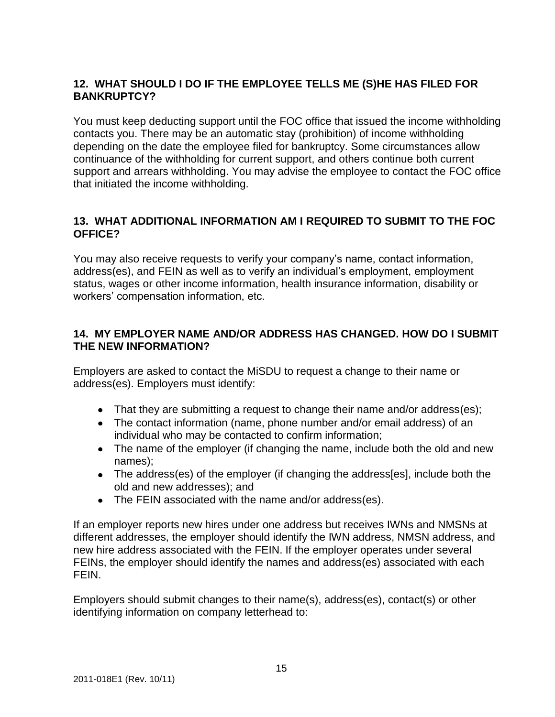# **12. WHAT SHOULD I DO IF THE EMPLOYEE TELLS ME (S)HE HAS FILED FOR BANKRUPTCY?**

You must keep deducting support until the FOC office that issued the income withholding contacts you. There may be an automatic stay (prohibition) of income withholding depending on the date the employee filed for bankruptcy. Some circumstances allow continuance of the withholding for current support, and others continue both current support and arrears withholding. You may advise the employee to contact the FOC office that initiated the income withholding.

# **13. WHAT ADDITIONAL INFORMATION AM I REQUIRED TO SUBMIT TO THE FOC OFFICE?**

You may also receive requests to verify your company's name, contact information, address(es), and FEIN as well as to verify an individual's employment, employment status, wages or other income information, health insurance information, disability or workers' compensation information, etc.

# **14. MY EMPLOYER NAME AND/OR ADDRESS HAS CHANGED. HOW DO I SUBMIT THE NEW INFORMATION?**

Employers are asked to contact the MiSDU to request a change to their name or address(es). Employers must identify:

- That they are submitting a request to change their name and/or address(es);
- The contact information (name, phone number and/or email address) of an individual who may be contacted to confirm information;
- The name of the employer (if changing the name, include both the old and new names);
- The address(es) of the employer (if changing the address[es], include both the old and new addresses); and
- The FEIN associated with the name and/or address(es).

If an employer reports new hires under one address but receives IWNs and NMSNs at different addresses, the employer should identify the IWN address, NMSN address, and new hire address associated with the FEIN. If the employer operates under several FEINs, the employer should identify the names and address(es) associated with each FEIN.

Employers should submit changes to their name(s), address(es), contact(s) or other identifying information on company letterhead to: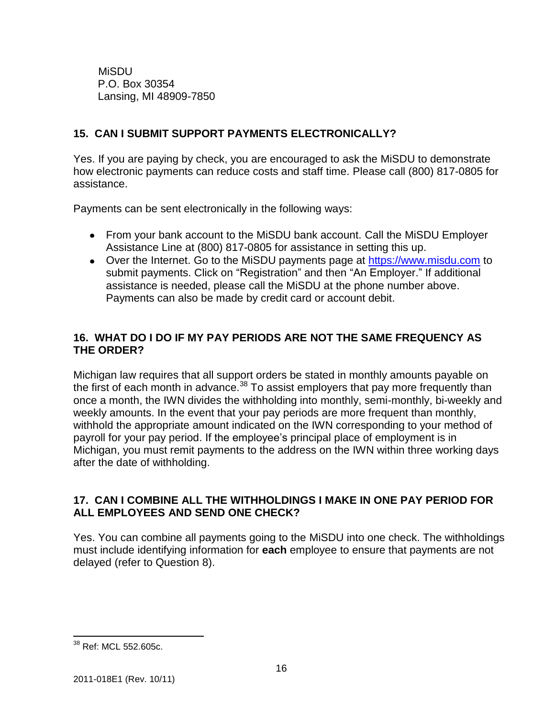MiSDU P.O. Box 30354 Lansing, MI 48909-7850

# **15. CAN I SUBMIT SUPPORT PAYMENTS ELECTRONICALLY?**

Yes. If you are paying by check, you are encouraged to ask the MiSDU to demonstrate how electronic payments can reduce costs and staff time. Please call (800) 817-0805 for assistance.

Payments can be sent electronically in the following ways:

- From your bank account to the MiSDU bank account. Call the MiSDU Employer Assistance Line at (800) 817-0805 for assistance in setting this up.
- Over the Internet. Go to the MiSDU payments page at [https://www.misdu.com](https://www.misdu.com/Secure/Default.aspx?tabid=41) to submit payments. Click on "Registration" and then "An Employer." If additional assistance is needed, please call the MiSDU at the phone number above. Payments can also be made by credit card or account debit.

# **16. WHAT DO I DO IF MY PAY PERIODS ARE NOT THE SAME FREQUENCY AS THE ORDER?**

Michigan law requires that all support orders be stated in monthly amounts payable on the first of each month in advance.<sup>38</sup> To assist employers that pay more frequently than once a month, the IWN divides the withholding into monthly, semi-monthly, bi-weekly and weekly amounts. In the event that your pay periods are more frequent than monthly, withhold the appropriate amount indicated on the IWN corresponding to your method of payroll for your pay period. If the employee's principal place of employment is in Michigan, you must remit payments to the address on the IWN within three working days after the date of withholding.

# **17. CAN I COMBINE ALL THE WITHHOLDINGS I MAKE IN ONE PAY PERIOD FOR ALL EMPLOYEES AND SEND ONE CHECK?**

Yes. You can combine all payments going to the MiSDU into one check. The withholdings must include identifying information for **each** employee to ensure that payments are not delayed (refer to Question 8).

 $\overline{a}$ <sup>38</sup> Ref: MCL 552.605c.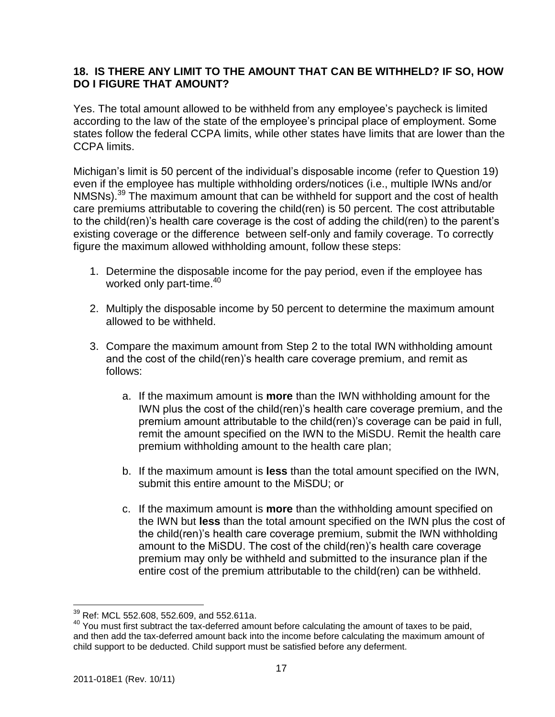## **18. IS THERE ANY LIMIT TO THE AMOUNT THAT CAN BE WITHHELD? IF SO, HOW DO I FIGURE THAT AMOUNT?**

Yes. The total amount allowed to be withheld from any employee's paycheck is limited according to the law of the state of the employee's principal place of employment. Some states follow the federal CCPA limits, while other states have limits that are lower than the CCPA limits.

Michigan's limit is 50 percent of the individual's disposable income (refer to Question 19) even if the employee has multiple withholding orders/notices (i.e., multiple IWNs and/or NMSNs).<sup>39</sup> The maximum amount that can be withheld for support and the cost of health care premiums attributable to covering the child(ren) is 50 percent. The cost attributable to the child(ren)'s health care coverage is the cost of adding the child(ren) to the parent's existing coverage or the difference between self-only and family coverage. To correctly figure the maximum allowed withholding amount, follow these steps:

- 1. Determine the disposable income for the pay period, even if the employee has worked only part-time.<sup>40</sup>
- 2. Multiply the disposable income by 50 percent to determine the maximum amount allowed to be withheld.
- 3. Compare the maximum amount from Step 2 to the total IWN withholding amount and the cost of the child(ren)'s health care coverage premium, and remit as follows:
	- a. If the maximum amount is **more** than the IWN withholding amount for the IWN plus the cost of the child(ren)'s health care coverage premium, and the premium amount attributable to the child(ren)'s coverage can be paid in full, remit the amount specified on the IWN to the MiSDU. Remit the health care premium withholding amount to the health care plan;
	- b. If the maximum amount is **less** than the total amount specified on the IWN, submit this entire amount to the MiSDU; or
	- c. If the maximum amount is **more** than the withholding amount specified on the IWN but **less** than the total amount specified on the IWN plus the cost of the child(ren)'s health care coverage premium, submit the IWN withholding amount to the MiSDU. The cost of the child(ren)'s health care coverage premium may only be withheld and submitted to the insurance plan if the entire cost of the premium attributable to the child(ren) can be withheld.

 $\overline{a}$  $^{39}$  Ref: MCL 552.608, 552.609, and 552.611a.

<sup>40</sup> You must first subtract the tax-deferred amount before calculating the amount of taxes to be paid, and then add the tax-deferred amount back into the income before calculating the maximum amount of child support to be deducted. Child support must be satisfied before any deferment.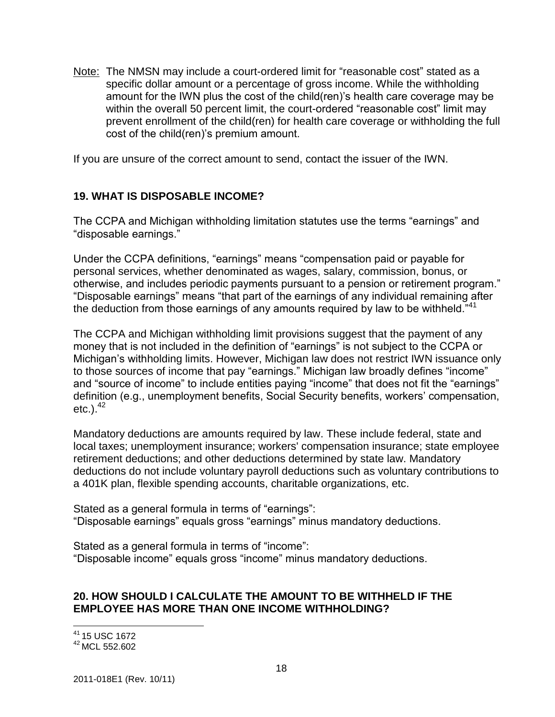Note: The NMSN may include a court-ordered limit for "reasonable cost" stated as a specific dollar amount or a percentage of gross income. While the withholding amount for the IWN plus the cost of the child(ren)'s health care coverage may be within the overall 50 percent limit, the court-ordered "reasonable cost" limit may prevent enrollment of the child(ren) for health care coverage or withholding the full cost of the child(ren)'s premium amount.

If you are unsure of the correct amount to send, contact the issuer of the IWN.

## **19. WHAT IS DISPOSABLE INCOME?**

The CCPA and Michigan withholding limitation statutes use the terms "earnings" and "disposable earnings."

Under the CCPA definitions, "earnings" means "compensation paid or payable for personal services, whether denominated as wages, salary, commission, bonus, or otherwise, and includes periodic payments pursuant to a pension or retirement program." "Disposable earnings" means "that part of the earnings of any individual remaining after the deduction from those earnings of any amounts required by law to be withheld."<sup>41</sup>

The CCPA and Michigan withholding limit provisions suggest that the payment of any money that is not included in the definition of "earnings" is not subject to the CCPA or Michigan's withholding limits. However, Michigan law does not restrict IWN issuance only to those sources of income that pay "earnings." Michigan law broadly defines "income" and "source of income" to include entities paying "income" that does not fit the "earnings" definition (e.g., unemployment benefits, Social Security benefits, workers' compensation,  $etc.$ ). $42$ 

Mandatory deductions are amounts required by law. These include federal, state and local taxes; unemployment insurance; workers' compensation insurance; state employee retirement deductions; and other deductions determined by state law. Mandatory deductions do not include voluntary payroll deductions such as voluntary contributions to a 401K plan, flexible spending accounts, charitable organizations, etc.

Stated as a general formula in terms of "earnings": "Disposable earnings" equals gross "earnings" minus mandatory deductions.

Stated as a general formula in terms of "income": "Disposable income" equals gross "income" minus mandatory deductions.

#### **20. HOW SHOULD I CALCULATE THE AMOUNT TO BE WITHHELD IF THE EMPLOYEE HAS MORE THAN ONE INCOME WITHHOLDING?**

 $\overline{a}$ <sup>41</sup> 15 USC 1672

<sup>42</sup> MCL 552.602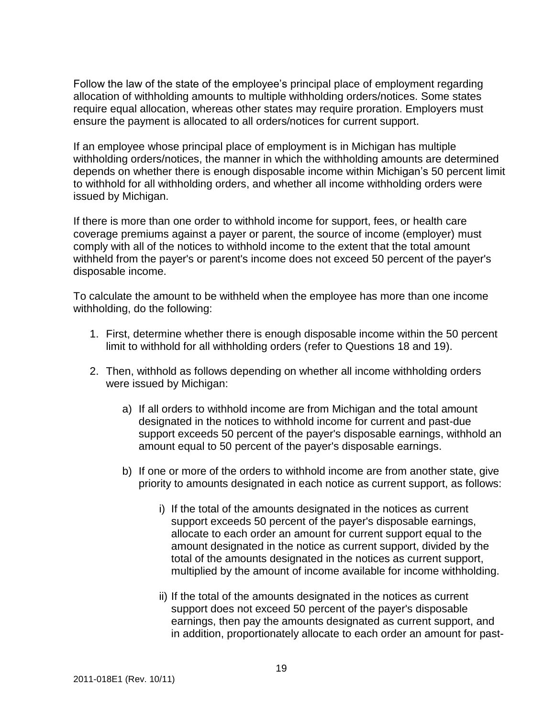Follow the law of the state of the employee's principal place of employment regarding allocation of withholding amounts to multiple withholding orders/notices. Some states require equal allocation, whereas other states may require proration. Employers must ensure the payment is allocated to all orders/notices for current support.

If an employee whose principal place of employment is in Michigan has multiple withholding orders/notices, the manner in which the withholding amounts are determined depends on whether there is enough disposable income within Michigan's 50 percent limit to withhold for all withholding orders, and whether all income withholding orders were issued by Michigan.

If there is more than one order to withhold income for support, fees, or health care coverage premiums against a payer or parent, the source of income (employer) must comply with all of the notices to withhold income to the extent that the total amount withheld from the payer's or parent's income does not exceed 50 percent of the payer's disposable income.

To calculate the amount to be withheld when the employee has more than one income withholding, do the following:

- 1. First, determine whether there is enough disposable income within the 50 percent limit to withhold for all withholding orders (refer to Questions 18 and 19).
- 2. Then, withhold as follows depending on whether all income withholding orders were issued by Michigan:
	- a) If all orders to withhold income are from Michigan and the total amount designated in the notices to withhold income for current and past-due support exceeds 50 percent of the payer's disposable earnings, withhold an amount equal to 50 percent of the payer's disposable earnings.
	- b) If one or more of the orders to withhold income are from another state, give priority to amounts designated in each notice as current support, as follows:
		- i) If the total of the amounts designated in the notices as current support exceeds 50 percent of the payer's disposable earnings, allocate to each order an amount for current support equal to the amount designated in the notice as current support, divided by the total of the amounts designated in the notices as current support, multiplied by the amount of income available for income withholding.
		- ii) If the total of the amounts designated in the notices as current support does not exceed 50 percent of the payer's disposable earnings, then pay the amounts designated as current support, and in addition, proportionately allocate to each order an amount for past-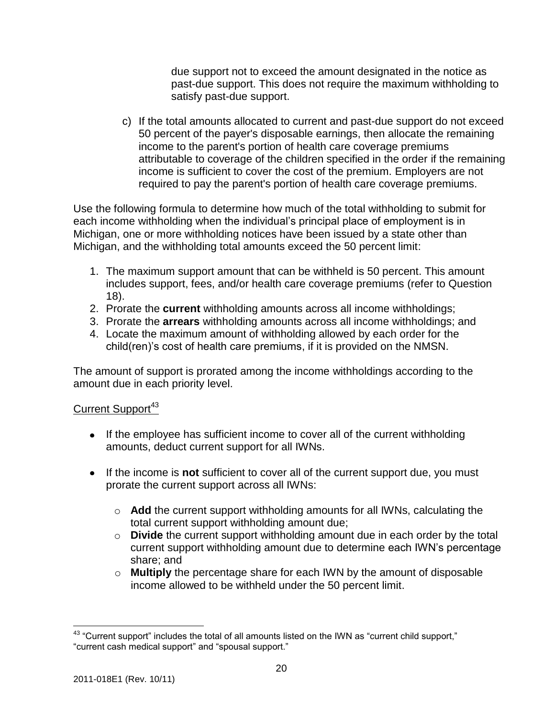due support not to exceed the amount designated in the notice as past-due support. This does not require the maximum withholding to satisfy past-due support.

c) If the total amounts allocated to current and past-due support do not exceed 50 percent of the payer's disposable earnings, then allocate the remaining income to the parent's portion of health care coverage premiums attributable to coverage of the children specified in the order if the remaining income is sufficient to cover the cost of the premium. Employers are not required to pay the parent's portion of health care coverage premiums.

Use the following formula to determine how much of the total withholding to submit for each income withholding when the individual's principal place of employment is in Michigan, one or more withholding notices have been issued by a state other than Michigan, and the withholding total amounts exceed the 50 percent limit:

- 1. The maximum support amount that can be withheld is 50 percent. This amount includes support, fees, and/or health care coverage premiums (refer to Question 18).
- 2. Prorate the **current** withholding amounts across all income withholdings;
- 3. Prorate the **arrears** withholding amounts across all income withholdings; and
- 4. Locate the maximum amount of withholding allowed by each order for the child(ren)'s cost of health care premiums, if it is provided on the NMSN.

The amount of support is prorated among the income withholdings according to the amount due in each priority level.

# Current Support<sup>43</sup>

- If the employee has sufficient income to cover all of the current withholding amounts, deduct current support for all IWNs.
- If the income is **not** sufficient to cover all of the current support due, you must prorate the current support across all IWNs:
	- o **Add** the current support withholding amounts for all IWNs, calculating the total current support withholding amount due;
	- o **Divide** the current support withholding amount due in each order by the total current support withholding amount due to determine each IWN's percentage share; and
	- o **Multiply** the percentage share for each IWN by the amount of disposable income allowed to be withheld under the 50 percent limit.

 $43$  "Current support" includes the total of all amounts listed on the IWN as "current child support," "current cash medical support" and "spousal support."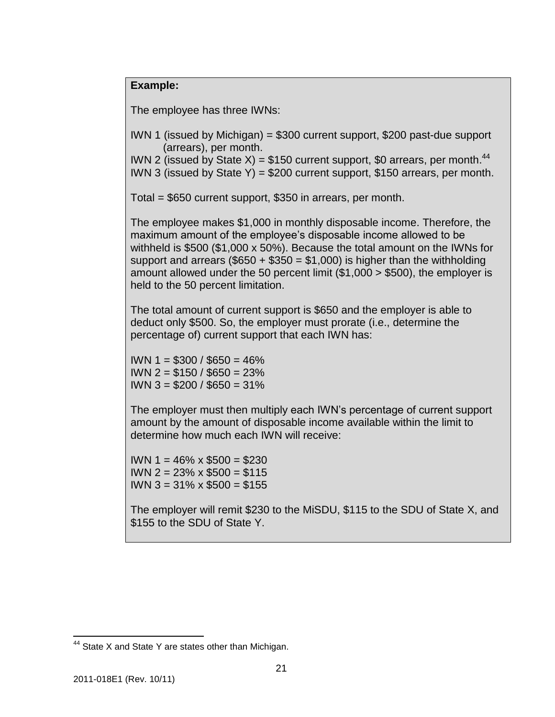## **Example:**

The employee has three IWNs:

IWN 1 (issued by Michigan) = \$300 current support, \$200 past-due support (arrears), per month.

IWN 2 (issued by State X) = \$150 current support, \$0 arrears, per month.<sup>44</sup>

IWN 3 (issued by State Y) =  $$200$  current support, \$150 arrears, per month.

Total = \$650 current support, \$350 in arrears, per month.

The employee makes \$1,000 in monthly disposable income. Therefore, the maximum amount of the employee's disposable income allowed to be withheld is \$500 (\$1,000 x 50%). Because the total amount on the IWNs for support and arrears (\$650  $+$  \$350 = \$1,000) is higher than the withholding amount allowed under the 50 percent limit (\$1,000 > \$500), the employer is held to the 50 percent limitation.

The total amount of current support is \$650 and the employer is able to deduct only \$500. So, the employer must prorate (i.e., determine the percentage of) current support that each IWN has:

IWN 1 = \$300 / \$650 = 46% IWN 2 = \$150 / \$650 = 23% IWN 3 = \$200 / \$650 = 31%

The employer must then multiply each IWN's percentage of current support amount by the amount of disposable income available within the limit to determine how much each IWN will receive:

IWN 1 = 46% x \$500 = \$230 IWN 2 = 23% x \$500 = \$115 IWN 3 = 31% x \$500 = \$155

The employer will remit \$230 to the MiSDU, \$115 to the SDU of State X, and \$155 to the SDU of State Y.

 $44$  State X and State Y are states other than Michigan.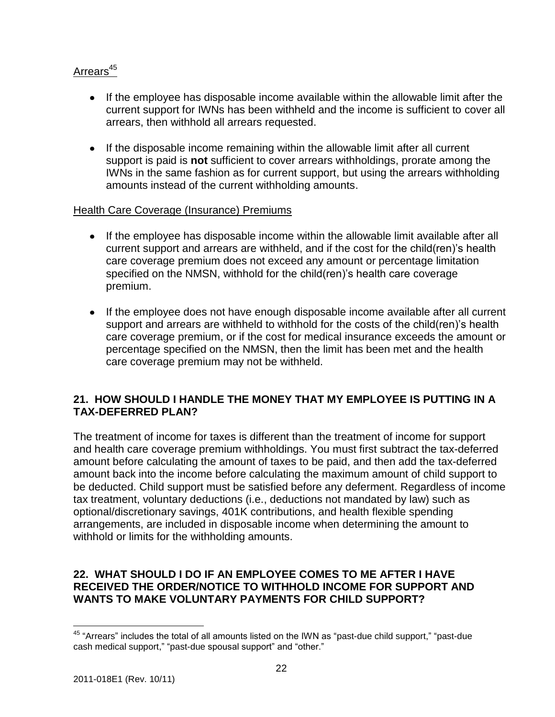# $A$ rrears<sup>45</sup>

- If the employee has disposable income available within the allowable limit after the current support for IWNs has been withheld and the income is sufficient to cover all arrears, then withhold all arrears requested.
- If the disposable income remaining within the allowable limit after all current support is paid is **not** sufficient to cover arrears withholdings, prorate among the IWNs in the same fashion as for current support, but using the arrears withholding amounts instead of the current withholding amounts.

## Health Care Coverage (Insurance) Premiums

- If the employee has disposable income within the allowable limit available after all current support and arrears are withheld, and if the cost for the child(ren)'s health care coverage premium does not exceed any amount or percentage limitation specified on the NMSN, withhold for the child(ren)'s health care coverage premium.
- If the employee does not have enough disposable income available after all current support and arrears are withheld to withhold for the costs of the child(ren)'s health care coverage premium, or if the cost for medical insurance exceeds the amount or percentage specified on the NMSN, then the limit has been met and the health care coverage premium may not be withheld.

# **21. HOW SHOULD I HANDLE THE MONEY THAT MY EMPLOYEE IS PUTTING IN A TAX-DEFERRED PLAN?**

The treatment of income for taxes is different than the treatment of income for support and health care coverage premium withholdings. You must first subtract the tax-deferred amount before calculating the amount of taxes to be paid, and then add the tax-deferred amount back into the income before calculating the maximum amount of child support to be deducted. Child support must be satisfied before any deferment. Regardless of income tax treatment, voluntary deductions (i.e., deductions not mandated by law) such as optional/discretionary savings, 401K contributions, and health flexible spending arrangements, are included in disposable income when determining the amount to withhold or limits for the withholding amounts.

## **22. WHAT SHOULD I DO IF AN EMPLOYEE COMES TO ME AFTER I HAVE RECEIVED THE ORDER/NOTICE TO WITHHOLD INCOME FOR SUPPORT AND WANTS TO MAKE VOLUNTARY PAYMENTS FOR CHILD SUPPORT?**

 $45$  "Arrears" includes the total of all amounts listed on the IWN as "past-due child support," "past-due cash medical support," "past-due spousal support" and "other."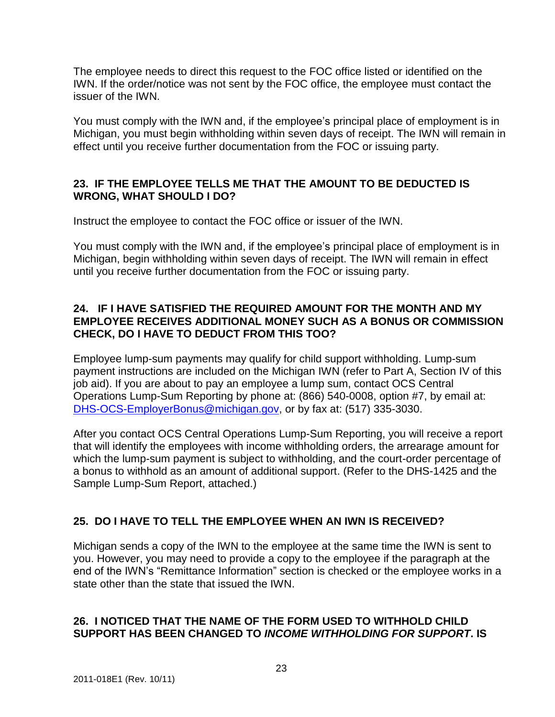The employee needs to direct this request to the FOC office listed or identified on the IWN. If the order/notice was not sent by the FOC office, the employee must contact the issuer of the IWN.

You must comply with the IWN and, if the employee's principal place of employment is in Michigan, you must begin withholding within seven days of receipt. The IWN will remain in effect until you receive further documentation from the FOC or issuing party.

# **23. IF THE EMPLOYEE TELLS ME THAT THE AMOUNT TO BE DEDUCTED IS WRONG, WHAT SHOULD I DO?**

Instruct the employee to contact the FOC office or issuer of the IWN.

You must comply with the IWN and, if the employee's principal place of employment is in Michigan, begin withholding within seven days of receipt. The IWN will remain in effect until you receive further documentation from the FOC or issuing party.

## **24. IF I HAVE SATISFIED THE REQUIRED AMOUNT FOR THE MONTH AND MY EMPLOYEE RECEIVES ADDITIONAL MONEY SUCH AS A BONUS OR COMMISSION CHECK, DO I HAVE TO DEDUCT FROM THIS TOO?**

Employee lump-sum payments may qualify for child support withholding. Lump-sum payment instructions are included on the Michigan IWN (refer to Part A, Section IV of this job aid). If you are about to pay an employee a lump sum, contact OCS Central Operations Lump-Sum Reporting by phone at: (866) 540-0008, option #7, by email at: [DHS-OCS-EmployerBonus@michigan.gov,](mailto:DHS-OCS-EmployerBonus@michigan.gov) or by fax at: (517) 335-3030.

After you contact OCS Central Operations Lump-Sum Reporting, you will receive a report that will identify the employees with income withholding orders, the arrearage amount for which the lump-sum payment is subject to withholding, and the court-order percentage of a bonus to withhold as an amount of additional support. (Refer to the DHS-1425 and the Sample Lump-Sum Report, attached.)

# **25. DO I HAVE TO TELL THE EMPLOYEE WHEN AN IWN IS RECEIVED?**

Michigan sends a copy of the IWN to the employee at the same time the IWN is sent to you. However, you may need to provide a copy to the employee if the paragraph at the end of the IWN's "Remittance Information" section is checked or the employee works in a state other than the state that issued the IWN.

# **26. I NOTICED THAT THE NAME OF THE FORM USED TO WITHHOLD CHILD SUPPORT HAS BEEN CHANGED TO** *INCOME WITHHOLDING FOR SUPPORT***. IS**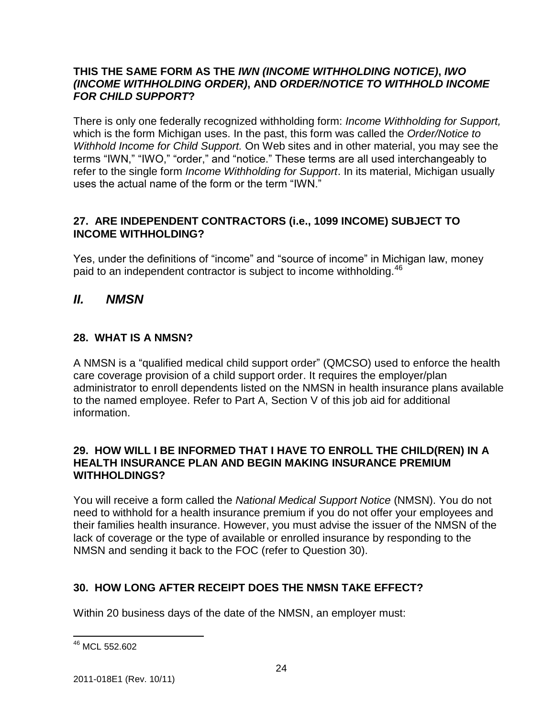## **THIS THE SAME FORM AS THE** *IWN (INCOME WITHHOLDING NOTICE)***,** *IWO (INCOME WITHHOLDING ORDER)***, AND** *ORDER/NOTICE TO WITHHOLD INCOME FOR CHILD SUPPORT***?**

There is only one federally recognized withholding form: *Income Withholding for Support,* which is the form Michigan uses. In the past, this form was called the *Order/Notice to Withhold Income for Child Support.* On Web sites and in other material, you may see the terms "IWN," "IWO," "order," and "notice." These terms are all used interchangeably to refer to the single form *Income Withholding for Support*. In its material, Michigan usually uses the actual name of the form or the term "IWN."

## **27. ARE INDEPENDENT CONTRACTORS (i.e., 1099 INCOME) SUBJECT TO INCOME WITHHOLDING?**

Yes, under the definitions of "income" and "source of income" in Michigan law, money paid to an independent contractor is subject to income withholding.<sup>46</sup>

# *II. NMSN*

# **28. WHAT IS A NMSN?**

A NMSN is a "qualified medical child support order" (QMCSO) used to enforce the health care coverage provision of a child support order. It requires the employer/plan administrator to enroll dependents listed on the NMSN in health insurance plans available to the named employee. Refer to Part A, Section V of this job aid for additional information.

## **29. HOW WILL I BE INFORMED THAT I HAVE TO ENROLL THE CHILD(REN) IN A HEALTH INSURANCE PLAN AND BEGIN MAKING INSURANCE PREMIUM WITHHOLDINGS?**

You will receive a form called the *National Medical Support Notice* (NMSN). You do not need to withhold for a health insurance premium if you do not offer your employees and their families health insurance. However, you must advise the issuer of the NMSN of the lack of coverage or the type of available or enrolled insurance by responding to the NMSN and sending it back to the FOC (refer to Question 30).

# **30. HOW LONG AFTER RECEIPT DOES THE NMSN TAKE EFFECT?**

Within 20 business days of the date of the NMSN, an employer must:

 $\overline{a}$ <sup>46</sup> MCL 552.602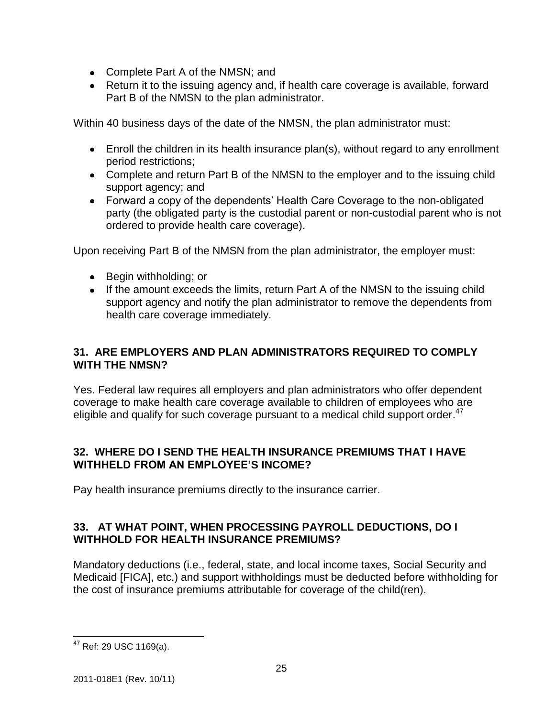- Complete Part A of the NMSN; and
- Return it to the issuing agency and, if health care coverage is available, forward Part B of the NMSN to the plan administrator.

Within 40 business days of the date of the NMSN, the plan administrator must:

- Enroll the children in its health insurance plan(s), without regard to any enrollment period restrictions;
- Complete and return Part B of the NMSN to the employer and to the issuing child support agency; and
- Forward a copy of the dependents' Health Care Coverage to the non-obligated party (the obligated party is the custodial parent or non-custodial parent who is not ordered to provide health care coverage).

Upon receiving Part B of the NMSN from the plan administrator, the employer must:

- Begin withholding; or
- If the amount exceeds the limits, return Part A of the NMSN to the issuing child support agency and notify the plan administrator to remove the dependents from health care coverage immediately.

## **31. ARE EMPLOYERS AND PLAN ADMINISTRATORS REQUIRED TO COMPLY WITH THE NMSN?**

Yes. Federal law requires all employers and plan administrators who offer dependent coverage to make health care coverage available to children of employees who are eligible and qualify for such coverage pursuant to a medical child support order.<sup>47</sup>

## **32. WHERE DO I SEND THE HEALTH INSURANCE PREMIUMS THAT I HAVE WITHHELD FROM AN EMPLOYEE'S INCOME?**

Pay health insurance premiums directly to the insurance carrier.

## **33. AT WHAT POINT, WHEN PROCESSING PAYROLL DEDUCTIONS, DO I WITHHOLD FOR HEALTH INSURANCE PREMIUMS?**

Mandatory deductions (i.e., federal, state, and local income taxes, Social Security and Medicaid [FICA], etc.) and support withholdings must be deducted before withholding for the cost of insurance premiums attributable for coverage of the child(ren).

 $\overline{a}$ <sup>47</sup> Ref: 29 USC 1169(a).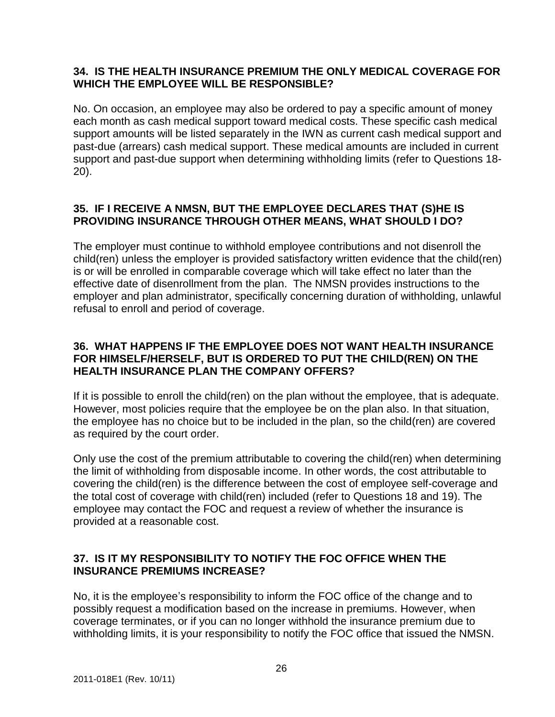## **34. IS THE HEALTH INSURANCE PREMIUM THE ONLY MEDICAL COVERAGE FOR WHICH THE EMPLOYEE WILL BE RESPONSIBLE?**

No. On occasion, an employee may also be ordered to pay a specific amount of money each month as cash medical support toward medical costs. These specific cash medical support amounts will be listed separately in the IWN as current cash medical support and past-due (arrears) cash medical support. These medical amounts are included in current support and past-due support when determining withholding limits (refer to Questions 18- 20).

# **35. IF I RECEIVE A NMSN, BUT THE EMPLOYEE DECLARES THAT (S)HE IS PROVIDING INSURANCE THROUGH OTHER MEANS, WHAT SHOULD I DO?**

The employer must continue to withhold employee contributions and not disenroll the child(ren) unless the employer is provided satisfactory written evidence that the child(ren) is or will be enrolled in comparable coverage which will take effect no later than the effective date of disenrollment from the plan. The NMSN provides instructions to the employer and plan administrator, specifically concerning duration of withholding, unlawful refusal to enroll and period of coverage.

## **36. WHAT HAPPENS IF THE EMPLOYEE DOES NOT WANT HEALTH INSURANCE FOR HIMSELF/HERSELF, BUT IS ORDERED TO PUT THE CHILD(REN) ON THE HEALTH INSURANCE PLAN THE COMPANY OFFERS?**

If it is possible to enroll the child(ren) on the plan without the employee, that is adequate. However, most policies require that the employee be on the plan also. In that situation, the employee has no choice but to be included in the plan, so the child(ren) are covered as required by the court order.

Only use the cost of the premium attributable to covering the child(ren) when determining the limit of withholding from disposable income. In other words, the cost attributable to covering the child(ren) is the difference between the cost of employee self-coverage and the total cost of coverage with child(ren) included (refer to Questions 18 and 19). The employee may contact the FOC and request a review of whether the insurance is provided at a reasonable cost.

# **37. IS IT MY RESPONSIBILITY TO NOTIFY THE FOC OFFICE WHEN THE INSURANCE PREMIUMS INCREASE?**

No, it is the employee's responsibility to inform the FOC office of the change and to possibly request a modification based on the increase in premiums. However, when coverage terminates, or if you can no longer withhold the insurance premium due to withholding limits, it is your responsibility to notify the FOC office that issued the NMSN.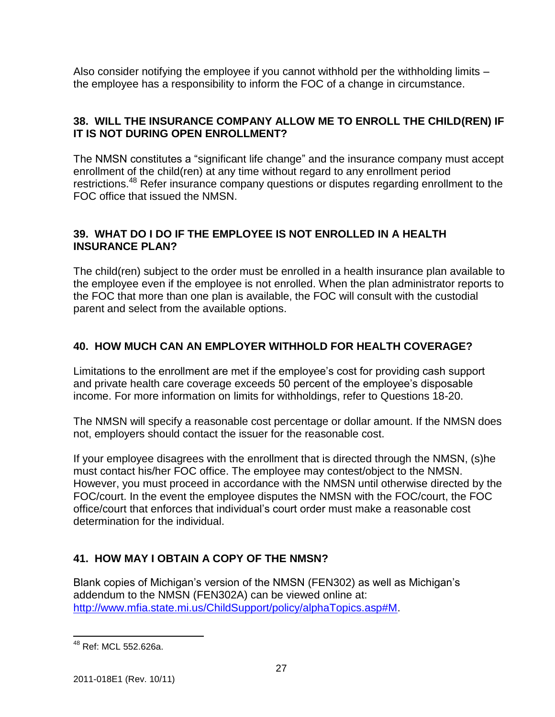Also consider notifying the employee if you cannot withhold per the withholding limits – the employee has a responsibility to inform the FOC of a change in circumstance.

# **38. WILL THE INSURANCE COMPANY ALLOW ME TO ENROLL THE CHILD(REN) IF IT IS NOT DURING OPEN ENROLLMENT?**

The NMSN constitutes a "significant life change" and the insurance company must accept enrollment of the child(ren) at any time without regard to any enrollment period restrictions.<sup>48</sup> Refer insurance company questions or disputes regarding enrollment to the FOC office that issued the NMSN.

## **39. WHAT DO I DO IF THE EMPLOYEE IS NOT ENROLLED IN A HEALTH INSURANCE PLAN?**

The child(ren) subject to the order must be enrolled in a health insurance plan available to the employee even if the employee is not enrolled. When the plan administrator reports to the FOC that more than one plan is available, the FOC will consult with the custodial parent and select from the available options.

# **40. HOW MUCH CAN AN EMPLOYER WITHHOLD FOR HEALTH COVERAGE?**

Limitations to the enrollment are met if the employee's cost for providing cash support and private health care coverage exceeds 50 percent of the employee's disposable income. For more information on limits for withholdings, refer to Questions 18-20.

The NMSN will specify a reasonable cost percentage or dollar amount. If the NMSN does not, employers should contact the issuer for the reasonable cost.

If your employee disagrees with the enrollment that is directed through the NMSN, (s)he must contact his/her FOC office. The employee may contest/object to the NMSN. However, you must proceed in accordance with the NMSN until otherwise directed by the FOC/court. In the event the employee disputes the NMSN with the FOC/court, the FOC office/court that enforces that individual's court order must make a reasonable cost determination for the individual.

# **41. HOW MAY I OBTAIN A COPY OF THE NMSN?**

Blank copies of Michigan's version of the NMSN (FEN302) as well as Michigan's addendum to the NMSN (FEN302A) can be viewed online at: [http://www.mfia.state.mi.us/ChildSupport/policy/alphaTopics.asp#M.](http://www.mfia.state.mi.us/ChildSupport/policy/alphaTopics.asp#M)

 $\overline{a}$ <sup>48</sup> Ref: MCL 552.626a.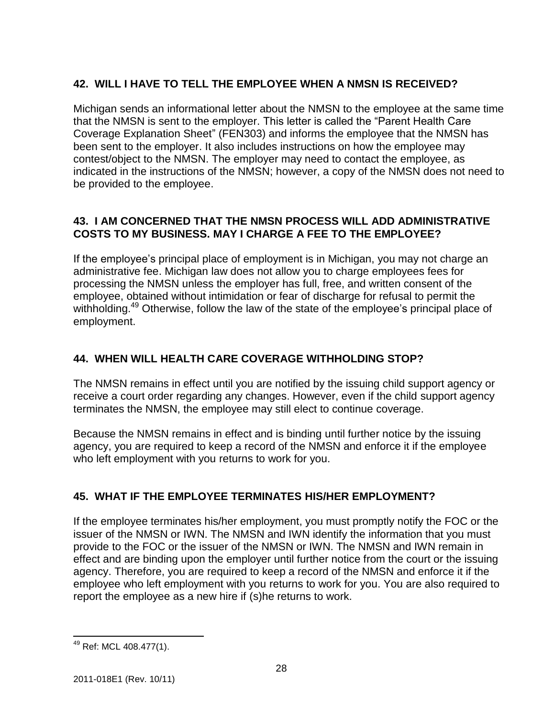# **42. WILL I HAVE TO TELL THE EMPLOYEE WHEN A NMSN IS RECEIVED?**

Michigan sends an informational letter about the NMSN to the employee at the same time that the NMSN is sent to the employer. This letter is called the "Parent Health Care Coverage Explanation Sheet" (FEN303) and informs the employee that the NMSN has been sent to the employer. It also includes instructions on how the employee may contest/object to the NMSN. The employer may need to contact the employee, as indicated in the instructions of the NMSN; however, a copy of the NMSN does not need to be provided to the employee.

# **43. I AM CONCERNED THAT THE NMSN PROCESS WILL ADD ADMINISTRATIVE COSTS TO MY BUSINESS. MAY I CHARGE A FEE TO THE EMPLOYEE?**

If the employee's principal place of employment is in Michigan, you may not charge an administrative fee. Michigan law does not allow you to charge employees fees for processing the NMSN unless the employer has full, free, and written consent of the employee, obtained without intimidation or fear of discharge for refusal to permit the withholding.<sup>49</sup> Otherwise, follow the law of the state of the employee's principal place of employment.

# **44. WHEN WILL HEALTH CARE COVERAGE WITHHOLDING STOP?**

The NMSN remains in effect until you are notified by the issuing child support agency or receive a court order regarding any changes. However, even if the child support agency terminates the NMSN, the employee may still elect to continue coverage.

Because the NMSN remains in effect and is binding until further notice by the issuing agency, you are required to keep a record of the NMSN and enforce it if the employee who left employment with you returns to work for you.

# **45. WHAT IF THE EMPLOYEE TERMINATES HIS/HER EMPLOYMENT?**

If the employee terminates his/her employment, you must promptly notify the FOC or the issuer of the NMSN or IWN. The NMSN and IWN identify the information that you must provide to the FOC or the issuer of the NMSN or IWN. The NMSN and IWN remain in effect and are binding upon the employer until further notice from the court or the issuing agency. Therefore, you are required to keep a record of the NMSN and enforce it if the employee who left employment with you returns to work for you. You are also required to report the employee as a new hire if (s)he returns to work.

 $\overline{a}$ <sup>49</sup> Ref: MCL 408.477(1).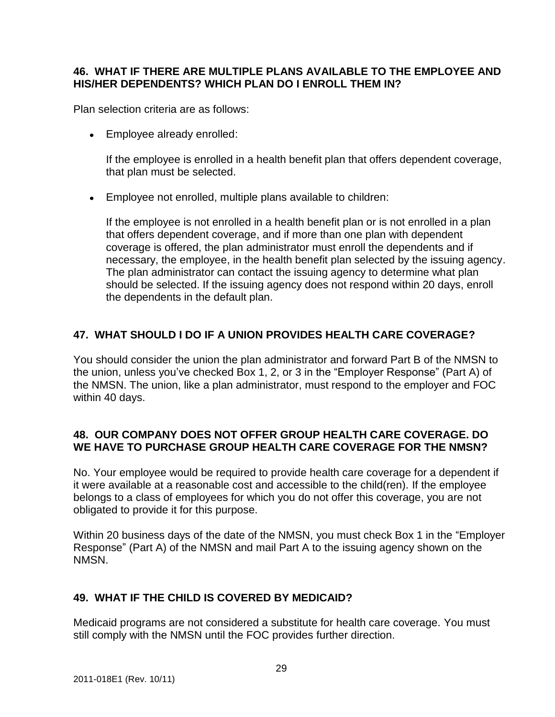## **46. WHAT IF THERE ARE MULTIPLE PLANS AVAILABLE TO THE EMPLOYEE AND HIS/HER DEPENDENTS? WHICH PLAN DO I ENROLL THEM IN?**

Plan selection criteria are as follows:

Employee already enrolled:

If the employee is enrolled in a health benefit plan that offers dependent coverage, that plan must be selected.

Employee not enrolled, multiple plans available to children:

If the employee is not enrolled in a health benefit plan or is not enrolled in a plan that offers dependent coverage, and if more than one plan with dependent coverage is offered, the plan administrator must enroll the dependents and if necessary, the employee, in the health benefit plan selected by the issuing agency. The plan administrator can contact the issuing agency to determine what plan should be selected. If the issuing agency does not respond within 20 days, enroll the dependents in the default plan.

# **47. WHAT SHOULD I DO IF A UNION PROVIDES HEALTH CARE COVERAGE?**

You should consider the union the plan administrator and forward Part B of the NMSN to the union, unless you've checked Box 1, 2, or 3 in the "Employer Response" (Part A) of the NMSN. The union, like a plan administrator, must respond to the employer and FOC within 40 days.

## **48. OUR COMPANY DOES NOT OFFER GROUP HEALTH CARE COVERAGE. DO WE HAVE TO PURCHASE GROUP HEALTH CARE COVERAGE FOR THE NMSN?**

No. Your employee would be required to provide health care coverage for a dependent if it were available at a reasonable cost and accessible to the child(ren). If the employee belongs to a class of employees for which you do not offer this coverage, you are not obligated to provide it for this purpose.

Within 20 business days of the date of the NMSN, you must check Box 1 in the "Employer Response" (Part A) of the NMSN and mail Part A to the issuing agency shown on the NMSN.

# **49. WHAT IF THE CHILD IS COVERED BY MEDICAID?**

Medicaid programs are not considered a substitute for health care coverage. You must still comply with the NMSN until the FOC provides further direction.